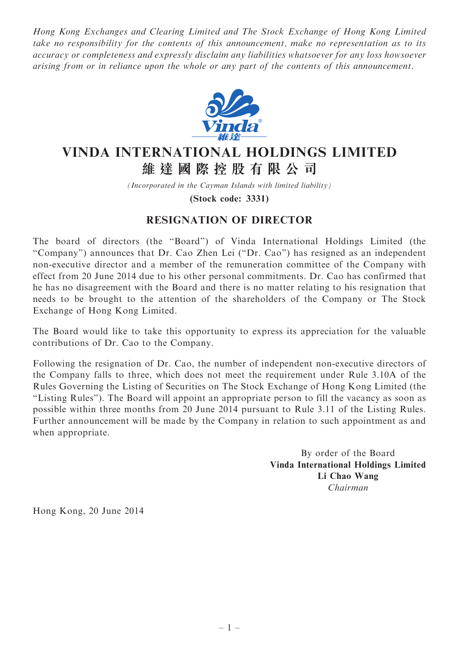Hong Kong Exchanges and Clearing Limited and The Stock Exchange of Hong Kong Limited take no responsibility for the contents of this announcement, make no representation as to its accuracy or completeness and expressly disclaim any liabilities whatsoever for any loss howsoever arising from or in reliance upon the whole or any part of the contents of this announcement.



## VINDA INTERNATIONAL HOLDINGS LIMITED 維 達 國 際 控 股 有 限 公 司

(Incorporated in the Cayman Islands with limited liability)

(Stock code: 3331)

## RESIGNATION OF DIRECTOR

The board of directors (the ''Board'') of Vinda International Holdings Limited (the "Company") announces that Dr. Cao Zhen Lei ("Dr. Cao") has resigned as an independent non-executive director and a member of the remuneration committee of the Company with effect from 20 June 2014 due to his other personal commitments. Dr. Cao has confirmed that he has no disagreement with the Board and there is no matter relating to his resignation that needs to be brought to the attention of the shareholders of the Company or The Stock Exchange of Hong Kong Limited.

The Board would like to take this opportunity to express its appreciation for the valuable contributions of Dr. Cao to the Company.

Following the resignation of Dr. Cao, the number of independent non-executive directors of the Company falls to three, which does not meet the requirement under Rule 3.10A of the Rules Governing the Listing of Securities on The Stock Exchange of Hong Kong Limited (the ''Listing Rules''). The Board will appoint an appropriate person to fill the vacancy as soon as possible within three months from 20 June 2014 pursuant to Rule 3.11 of the Listing Rules. Further announcement will be made by the Company in relation to such appointment as and when appropriate.

> By order of the Board Vinda International Holdings Limited Li Chao Wang Chairman

Hong Kong, 20 June 2014